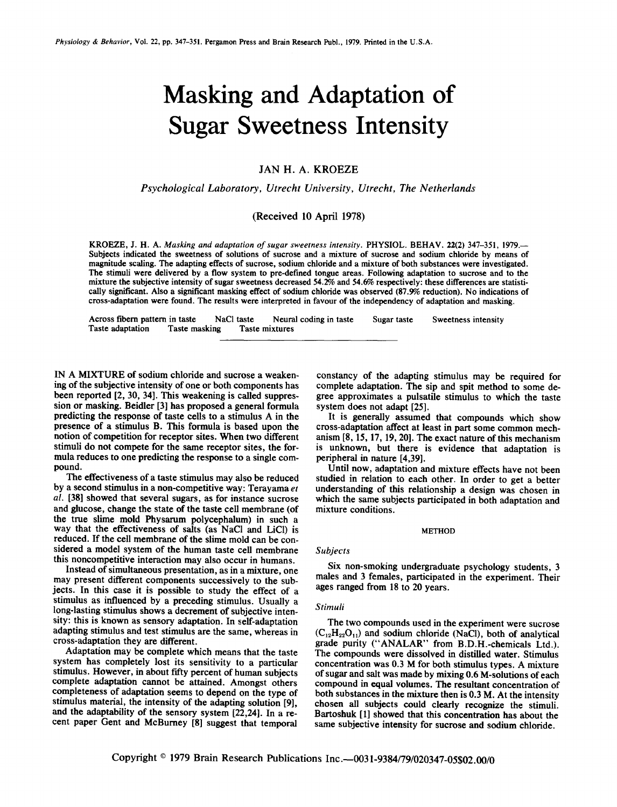# **Masking and Adaptation of Sugar Sweetness Intensity**

# JAN **H. A.** KROEZE

*Psychological Laboratory, Utrecht University, Utrecht, The Netherlands* 

# (Received 10 April 1978)

KROEZE, J. H. A. *Masking and adaptation of sugar sweetness intensity.* PHYSIOL. BEHAV. 22(2) 347-351, 1979.- Subjects indicated the sweetness of solutions of sucrose and a mixture of sucrose and sodium chloride by means of magnitude scaling. The adapting effects of sucrose, sodium chloride and a mixture of both substances were investigated. The stimuli were delivered by a flow system to pre-defined tongue areas. Following adaptation to sucrose and to the mixture the subjective intensity of sugar sweetness decreased 54.2% and 54.6% respectively: these differences are statistically significant. Also a significant masking effect of sodium chloride was observed (87.9% reduction). No indications of cross-adaptation were found. The results were interpreted in favour of the independency of adaptation and masking.

Across fibern pattern in taste NaCl taste Neural coding in taste<br>Taste adaptation Taste masking Taste mixtures Taste adaptation Sugar taste Sweetness intensity

IN A MIXTURE of sodium chloride and sucrose a weakening of the subjective intensity of one or both components has been reported [2, 30, 34]. This weakening is called suppression or masking. Beidler [3] has proposed a general formula predicting the response of taste cells to a stimulus A in the presence of a stimulus B. This formula is based upon the notion of competition for receptor sites. When two different stimuli do not compete for the same receptor sites, the formula reduces to one predicting the response to a single compound.

The effectiveness of a taste stimulus may also be reduced by a second stimulus in a non-competitive way: Terayama *et al.* [38] showed that several sugars, as for instance sucrose and glucose, change the state of the taste cell membrane (of the true slime mold Physarum polycephalum) in such a way that the effectiveness of salts (as NaCI and LiCI) is reduced. If the cell membrane of the slime mold can be considered a model system of the human taste cell membrane this noncompetitive interaction may also occur in humans.

Instead of simultaneous presentation, as in a mixture, one may present different components successively to the subjects. In this case it is possible to study the effect of a stimulus as influenced by a preceding stimulus. Usually a long-lasting stimulus shows a decrement of subjective intensity: this is known as sensory adaptation. In self-adaptation adapting stimulus and test stimulus are the same, whereas in cross-adaptation they are different.

Adaptation may be complete which means that the taste system has completely lost its sensitivity to a particular stimulus. However, in about fifty percent of human subjects complete adaptation cannot be attained. Amongst others completeness of adaptation seems to depend on the type of stimulus material, the intensity of the adapting solution [9], and the adaptability of the sensory system [22,24]. In a recent paper Gent and MeBurney [8] suggest that temporal

constancy of the adapting stimulus may be required for complete adaptation. The sip and spit method to some degree approximates a pulsatile stimulus to which the taste system does not adapt [25].

It is generally assumed that compounds which show cross-adaptation affect at least in part some common mechanism [8, 15, 17, 19, 20]. The exact nature of this mechanism is unknown, but there is evidence that adaptation is peripheral in nature [4,39].

Until now, adaptation and mixture effects have not been studied in relation to each other. In order to get a better understanding of this relationship a design was chosen in which the same subjects participated in both adaptation and mixture conditions.

#### **METHOD**

## *Subjects*

Six non-smoking undergraduate psychology students, 3 males and 3 females, participated in the experiment. Their ages ranged from 18 to 20 years.

#### *Stimuli*

The two compounds used in the experiment were sucrose  $(C_{12}H_{22}O_{11})$  and sodium chloride (NaCl), both of analytical grade purity ("ANALAR" from B.D.H.-chemicals Ltd.). The compounds were dissolved in distilled water. Stimulus concentration was 0.3 M for both stimulus types. A mixture of sugar and salt was made by mixing 0.6 M-solutions of each compound in equal volumes. The resultant concentration of both substances in the mixture then is 0.3 M. At the intensity chosen all subjects could clearly recognize the stimuli. Bartoshuk [1] showed that this concentration has about the same subjective intensity for sucrose and sodium chloride.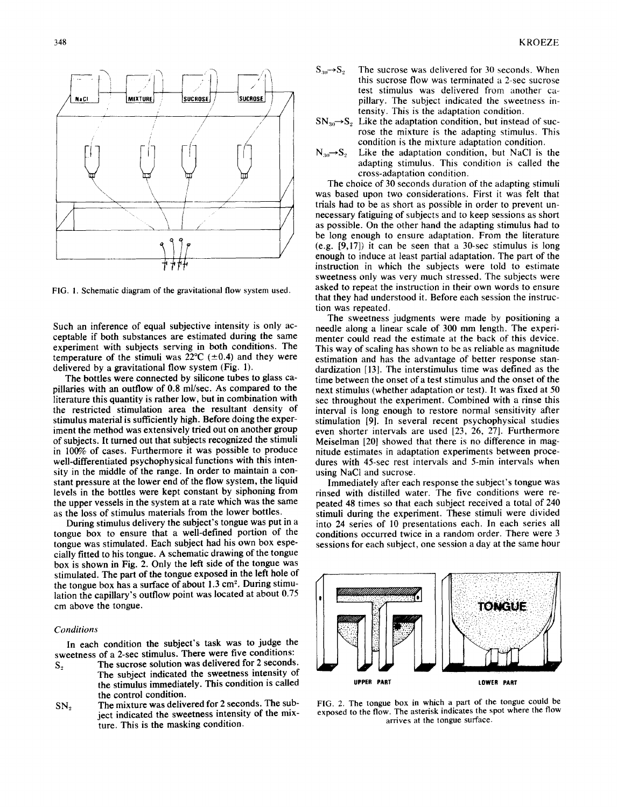

FIG. 1. Schematic diagram of the gravitational flow system used.

Such an inference of equal subjective intensity is only acceptable if both substances are estimated during the same experiment with subjects serving in both conditions. The temperature of the stimuli was  $22^{\circ}C$  ( $\pm$ 0.4) and they were delivered by a gravitational flow system (Fig. 1).

The bottles were connected by silicone tubes to glass capillaries with an outflow of 0.8 mi/sec. As compared to the literature this quantity is rather low, but in combination with the restricted stimulation area the resultant density of stimulus material is sufficiently high. Before doing the experiment the method was extensively tried out on another group of subjects. It turned out that subjects recognized the stimuli in 100% of cases. Furthermore it was possible to produce well-differentiated psychophysical functions with this intensity in the middle of the range. In order to maintain a constant pressure at the lower end of the flow system, the liquid levels in the bottles were kept constant by siphoning from the upper vessels in the system at a rate which was the same as the loss of stimulus materials from the lower bottles.

During stimulus delivery the subject's tongue was put in a tongue box to ensure that a well-defined portion of the tongue was stimulated. Each subject had his own box especially fitted to his tongue. A schematic drawing of the tongue box is shown in Fig. 2. Only the left side of the tongue was stimulated. The part of the tongue exposed in the left hole of the tongue box has a surface of about  $1.3 \text{ cm}^2$ . During stimulation the capillary's outflow point was located at about 0.75 cm above the tongue.

# *Conditions*

In each condition the subject's task was to judge the sweetness of a 2-sec stimulus. There were five conditions:

- $S<sub>2</sub>$  The sucrose solution was delivered for 2 seconds. The subject indicated the sweetness intensity of the stimulus immediately. This condition is called the control condition.
- $SN<sub>2</sub>$  The mixture was delivered for 2 seconds. The subject indicated the sweetness intensity of the mixture. This is the masking condition.
- $S_{30} \rightarrow S_2$  The sucrose was delivered for 30 seconds. When this sucrose flow was terminated a 2-sec sucrose test stimulus was delivered from another capillary. The subject indicated the sweetness intensity. This is the adaptation condition.
- $SN_{30} \rightarrow S_2$ . Like the adaptation condition, but instead of sucrose the mixture is the adapting stimulus. This condition is the mixture adaptation condition.
- $N_{30} \rightarrow S_2$  Like the adaptation condition, but NaCl is the adapting stimulus. This condition is called the cross-adaptation condition.

The choice of 30 seconds duration of the adapting stimuli was based upon two considerations. First it was felt that trials had to be as short as possible in order to prevent unnecessary fatiguing of subjects and to keep sessions as short as possible. On the other hand the adapting stimulus had to be long enough to ensure adaptation. From the literature (e.g.  $[9,17]$ ) it can be seen that a 30-sec stimulus is long enough to induce at least partial adaptation. The part of the instruction in which the subjects were told to estimate sweetness only was very much stressed. The subjects were asked to repeat the instruction in their own words to ensure that they had understood it. Before each session the instruction was repeated.

The sweetness judgments were made by positioning a needle along a linear scale of 300 mm length. The experimenter could read the estimate at the back of this device. This way of scaling has shown to be as reliable as magnitude estimation and has the advantage of better response standardization [13]. The interstimulus time was defined as the time between the onset of a test stimulus and the onset of the next stimulus (whether adaptation or test). It was fixed at 50 sec throughout the experiment. Combined with a rinse this interval is long enough to restore normal sensitivity after stimulation [9]. In several recent psychophysical studies even shorter intervals are used [23, 26, 27]. Furthermore Meiselman [20] showed that there is no difference in magnitude estimates in adaptation experiments between procedures with 45-sec rest intervals and 5-min intervals when using NaCI and sucrose.

Immediately after each response the subject's tongue was rinsed with distilled water. The five conditions were repeated 48 times so that each subject received a total of 240 stimuli during the experiment. These stimuli were divided into 24 series of 10 presentations each. In each series all conditions occurred twice in a random order. There were 3 sessions for each subject, one session a day at the same hour



FIG. 2. The tongue box in which a part of the tongue could be exposed to the flow. The asterisk indicates the spot where the flow arrives at the tongue surface.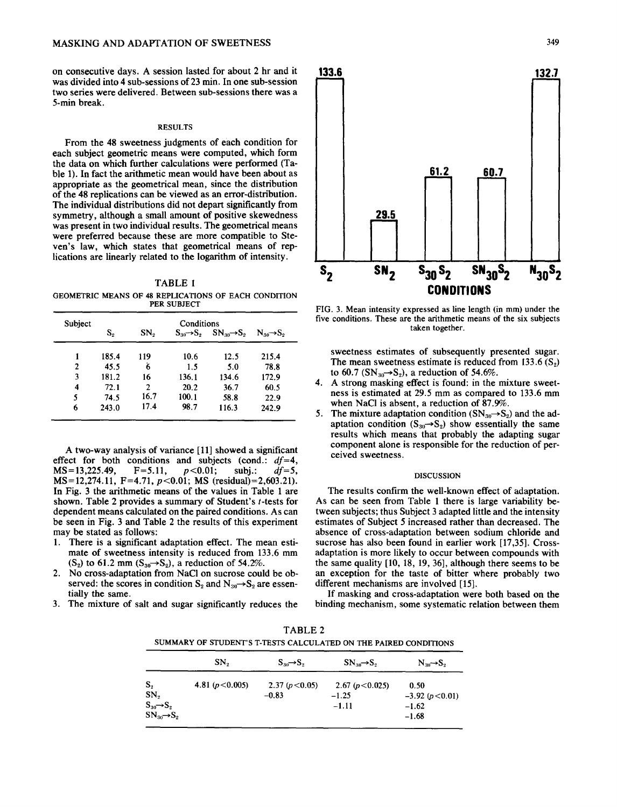on consecutive days. A session lasted for about 2 hr and it was divided into 4 sub-sessions of 23 min. In one sub-session two series were delivered. Between sub-sessions there was a 5-min break.

## **RESULTS**

From the 48 sweetness judgments of each condition for each subject geometric means were computed, which form the data on which further calculations were performed (Table 1). In fact the arithmetic mean would have been about as appropriate as the geometrical mean, since the distribution of the 48 replications can be viewed as an error-distribution. The individual distributions did not depart significantly from symmetry, although a small amount of positive skewedness was present in two individual results. The geometrical means were preferred because these are more compatible to Steven's law, which states that geometrical means of replications are linearly related to the logarithm of intensity.

TABLE I GEOMETRIC MEANS OF 48 REPLICATIONS OF EACH CONDITION PER SUBJECT

| Subject | Conditions       |                 |                            |                           |                          |  |  |
|---------|------------------|-----------------|----------------------------|---------------------------|--------------------------|--|--|
|         | $\mathbf{S}_{2}$ | SN <sub>2</sub> | $S_{20} \rightarrow S_{2}$ | $SN_{30} \rightarrow S_2$ | $N_{20} \rightarrow S_2$ |  |  |
|         | 185.4            | 119             | 10.6                       | 12.5                      | 215.4                    |  |  |
| 2       | 45.5             | Ğ               | 1.5                        | 5.0                       | 78.8                     |  |  |
| 3       | 181.2            | 16              | 136.1                      | 134.6                     | 172.9                    |  |  |
| 4       | 72.1             | 2               | 20.2                       | 36.7                      | 60.5                     |  |  |
| 5       | 74.5             | 16.7            | 100.1                      | 58.8                      | 22.9                     |  |  |
| 6       | 243.0            | 17.4            | 98.7                       | 116.3                     | 242.9                    |  |  |

A two-way analysis of variance [11] showed a significant effect for both conditions and subjects (cond.:  $df=4$ , MS=13,225.49, F=5.11,  $p < 0.01$ ; subj.:  $df=5$ , MS = 13,225.49,  $MS = 12,274.11$ ,  $F = 4.71$ ,  $p < 0.01$ ; MS (residual) = 2,603.21). In Fig. 3 the arithmetic means of the values in Table 1 are shown. Table 2 provides a summary of Student's *t*-tests for dependent means calculated on the paired conditions. As can be seen in Fig. 3 and Table 2 the results of this experiment may be stated as follows:

- 1. There is a significant adaptation effect. The mean estimate of sweetness intensity is reduced from 133.6 mm  $(S_2)$  to 61.2 mm  $(S_{30} \rightarrow S_2)$ , a reduction of 54.2%.
- 2. No cross-adaptation from NaCI on sucrose could be observed: the scores in condition  $S_2$  and  $N_{30} \rightarrow S_2$  are essentially the same.
- 3. The mixture of salt and sugar significantly reduces the



FIG. 3. Mean intensity expressed as line length (in mm) under the five conditions. These are the arithmetic means of the six subjects taken together.

sweetness estimates of subsequently presented sugar. The mean sweetness estimate is reduced from  $133.6$  (S<sub>2</sub>) to 60.7 ( $SN_{30} \rightarrow S_2$ ), a reduction of 54.6%.

- 4. A strong masking effect is found: in the mixture sweetness is estimated at 29.5 mm as compared to 133.6 mm when NaCI is absent, a reduction of 87.9%.
- 5. The mixture adaptation condition  $(SN_{30} \rightarrow S_2)$  and the adaptation condition  $(S_{30} \rightarrow S_2)$  show essentially the same results which means that probably the adapting sugar component alone is responsible for the reduction of perceived sweetness.

## DISCUSSION

The results confirm the well-known effect of adaptation. As can be seen from Table 1 there is large variability between subjects; thus Subject 3 adapted little and the intensity estimates of Subject 5 increased rather than decreased. The absence of cross-adaptation between sodium chloride and sucrose has also been found in earlier work [17,35]. Crossadaptation is more likely to occur between compounds with the same quality [10, 18, 19, 36], although there seems to be an exception for the taste of bitter where probably two different mechanisms are involved [15].

If masking and cross-adaptation were both based on the binding mechanism, some systematic relation between them

| TABLE 2                                                          |
|------------------------------------------------------------------|
| SUMMARY OF STUDENT'S T-TESTS CALCULATED ON THE PAIRED CONDITIONS |

|                           | SN.              | $S_{30} \rightarrow S_{2}$ | $SN_{30} \rightarrow S_2$ | $N_{30} \rightarrow S$ , |
|---------------------------|------------------|----------------------------|---------------------------|--------------------------|
| $\mathbf{S}_{2}$          | 4.81 $(p<0.005)$ | 2.37 $(p<0.05)$            | 2.67 $(p<0.025)$          | 0.50                     |
| $SN_{2}$                  |                  | $-0.83$                    | $-1.25$                   | $-3.92(p<0.01)$          |
| $S_{30} \rightarrow S_2$  |                  |                            | $-1.11$                   | $-1.62$                  |
| $SN_{30} \rightarrow S_2$ |                  |                            |                           | $-1.68$                  |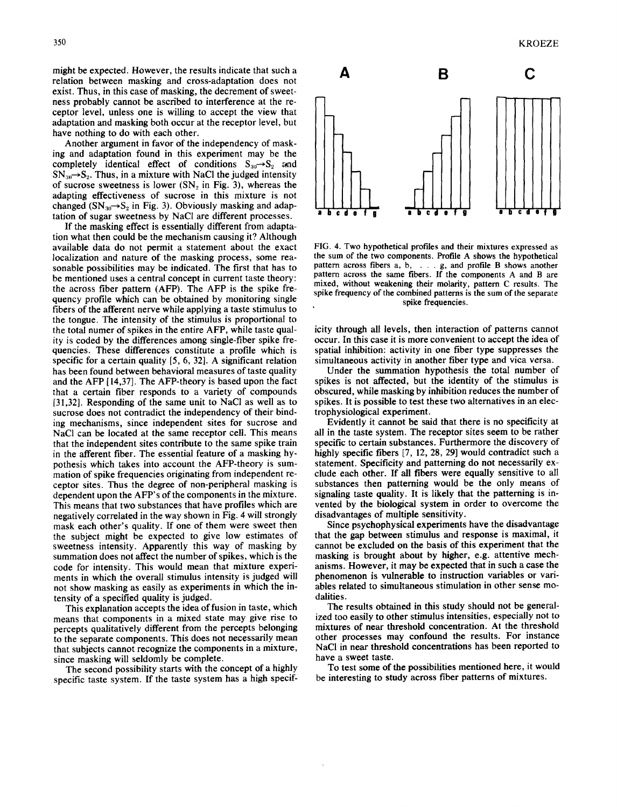might be expected. However, the results indicate that such a relation between masking and cross-adaptation does not exist. Thus, in this case of masking, the decrement of sweetness probably cannot be ascribed to interference at the receptor level, unless one is willing to accept the view that adaptation and masking both occur at the receptor level, but have nothing to do with each other.

Another argument in favor of the independency of masking and adaptation found in this experiment may be the completely identical effect of conditions  $S_{30}\rightarrow S_2$  and  $SN_{30} \rightarrow S_2$ . Thus, in a mixture with NaCl the judged intensity of sucrose sweetness is lower  $(SN_2$  in Fig. 3), whereas the adapting effectiveness of sucrose in this mixture is not changed (SN<sub>30</sub> $\rightarrow$ S<sub>2</sub> in Fig. 3). Obviously masking and adaptation of sugar sweetness by NaCI are different processes.

If the masking effect is essentially different from adaptation what then could be the mechanism causing it? Although available data do not permit a statement about the exact localization and nature of the masking process, some reasonable possibilities may be indicated. The first that has to be mentioned uses a central concept in current taste theory: the across fiber pattern (AFP). The AFP is the spike frequency profile which can be obtained by monitoring single fibers of the afferent nerve while applying a taste stimulus to the tongue. The intensity of the stimulus is proportional to the total numer of spikes in the entire AFP, while taste quality is coded by the differences among single-fiber spike frequencies. These differences constitute a profile which is specific for a certain quality [5, 6, 32]. A significant relation has been found between behavioral measures of taste quality and the AFP [14,37]. The AFP-theory is based upon the fact that a certain fiber responds to a variety of compounds [31,32]. Responding of the same unit to NaCl as well as to sucrose does not contradict the independency of their binding mechanisms, since independent sites for sucrose and NaCI can be located at the same receptor cell. This means that the independent sites contribute to the same spike train in the afferent fiber. The essential feature of a masking hypothesis which takes into account the AFP-theory is summation of spike frequencies originating from independent receptor sites. Thus the degree of non-peripheral masking is dependent upon the AFP's of the components in the mixture. This means that two substances that have profiles which are negatively correlated in the way shown in Fig. 4 will strongly mask each other's quality. If one of them were sweet then the subject might be expected to give low estimates of sweetness intensity. Apparently this way of masking by summation does not affect the number of spikes, which is the code for intensity. This would mean that mixture experiments in which the overall stimulus intensity is judged will not show masking as easily as experiments in which the intensity of a specified quality is judged.

This explanation accepts the idea of fusion in taste, which means that components in a mixed state may give rise to percepts qualitatively different from the percepts belonging to the separate components. This does not necessarily mean that subjects cannot recognize the components in a mixture, since masking will seldomly be complete.

The second possibility starts with the concept of a highly specific taste system. If the taste system has a high specif-





FIG. 4. Two hypothetical profiles and their mixtures expressed as the sum of the two components. Profile A shows the hypothetical pattern across fibers  $a, b, \ldots, g$ , and profile B shows another pattern across the same fibers. If the components A and B are mixed, without weakening their molarity, pattern C results. The spike frequency of the combined patterns is the sum of the separate spike frequencies.

icity through all levels, then interaction of patterns cannot occur. In this case it is more convenient to accept the idea of spatial inhibition: activity in one fiber type suppresses the simultaneous activity in another fiber type and vica versa.

Under the summation hypothesis the total number of spikes is not affected, but the identity of the stimulus is obscured, while masking by inhibition reduces the number of spikes. It is possible to test these two alternatives in an electrophysiological experiment.

Evidently it cannot be said that there is no specificity at all in the taste system. The receptor sites seem to be rather specific to certain substances. Furthermore the discovery of highly specific fibers [7, 12, 28, 29] would contradict such a statement. Specificity and patterning do not necessarily exclude each other. If all fibers were equally sensitive to all substances then patterning would be the only means of signaling taste quality. It is likely that the patterning is invented by the biological system in order to overcome the disadvantages of multiple sensitivity.

Since psychophysical experiments have the disadvantage that the gap between stimulus and response is maximal, it cannot be excluded on the basis of this experiment that the masking is brought about by higher, e.g. attentive mechanisms. However, it may be expected that in such a case the phenomenon is vulnerable to instruction variables or variables related to simultaneous stimulation in other sense modalities.

The results obtained in this study should not be generalized too easily to other stimulus intensities, especially not to mixtures of near threshold concentration. At the threshold other processes may confound the results. For instance NaCI in near threshold concentrations has been reported to have a sweet taste.

To test some of the possibilities mentioned here, it would be interesting to study across fiber patterns of mixtures.